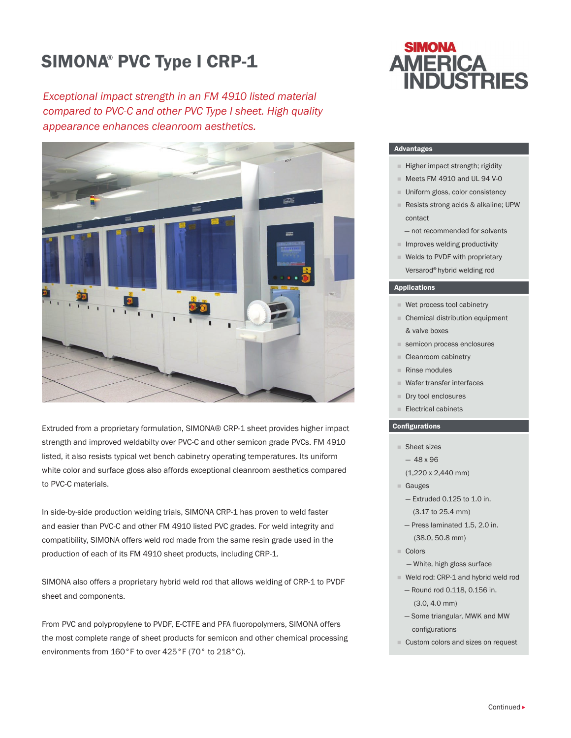# SIMONA® PVC Type I CRP-1

*Exceptional impact strength in an FM 4910 listed material compared to PVC-C and other PVC Type I sheet. High quality appearance enhances cleanroom aesthetics.*



Extruded from a proprietary formulation, SIMONA® CRP-1 sheet provides higher impact strength and improved weldabilty over PVC-C and other semicon grade PVCs. FM 4910 listed, it also resists typical wet bench cabinetry operating temperatures. Its uniform white color and surface gloss also affords exceptional cleanroom aesthetics compared to PVC-C materials.

In side-by-side production welding trials, SIMONA CRP-1 has proven to weld faster and easier than PVC-C and other FM 4910 listed PVC grades. For weld integrity and compatibility, SIMONA offers weld rod made from the same resin grade used in the production of each of its FM 4910 sheet products, including CRP-1.

SIMONA also offers a proprietary hybrid weld rod that allows welding of CRP-1 to PVDF sheet and components.

From PVC and polypropylene to PVDF, E-CTFE and PFA fluoropolymers, SIMONA offers the most complete range of sheet products for semicon and other chemical processing environments from 160°F to over 425°F (70° to 218°C).

## **SIMONA AMERICA VDUSTRIES**

## Advantages

- Higher impact strength; rigidity
- $\blacksquare$  Meets FM 4910 and UL 94 V-0
- **Uniform gloss, color consistency**
- Resists strong acids & alkaline; UPW contact
- not recommended for solvents
- $\blacksquare$  Improves welding productivity
- Welds to PVDF with proprietary Versarod® hybrid welding rod

#### Applications

- Wet process tool cabinetry
- **Chemical distribution equipment** & valve boxes
- semicon process enclosures
- Cleanroom cabinetry
- Rinse modules
- Wafer transfer interfaces
- Dry tool enclosures
- Electrical cabinets

## **Configurations**

- Sheet sizes
- $-48 \times 96$
- (1,220 x 2,440 mm)
- Gauges
- $-$  Extruded 0.125 to 1.0 in. (3.17 to 25.4 mm)
	-
- Press laminated 1.5, 2.0 in. (38.0, 50.8 mm)
- Colors
	- White, high gloss surface
- Weld rod: CRP-1 and hybrid weld rod
	- Round rod 0.118, 0.156 in. (3.0, 4.0 mm)
- Some triangular, MWK and MW configurations
- Custom colors and sizes on request